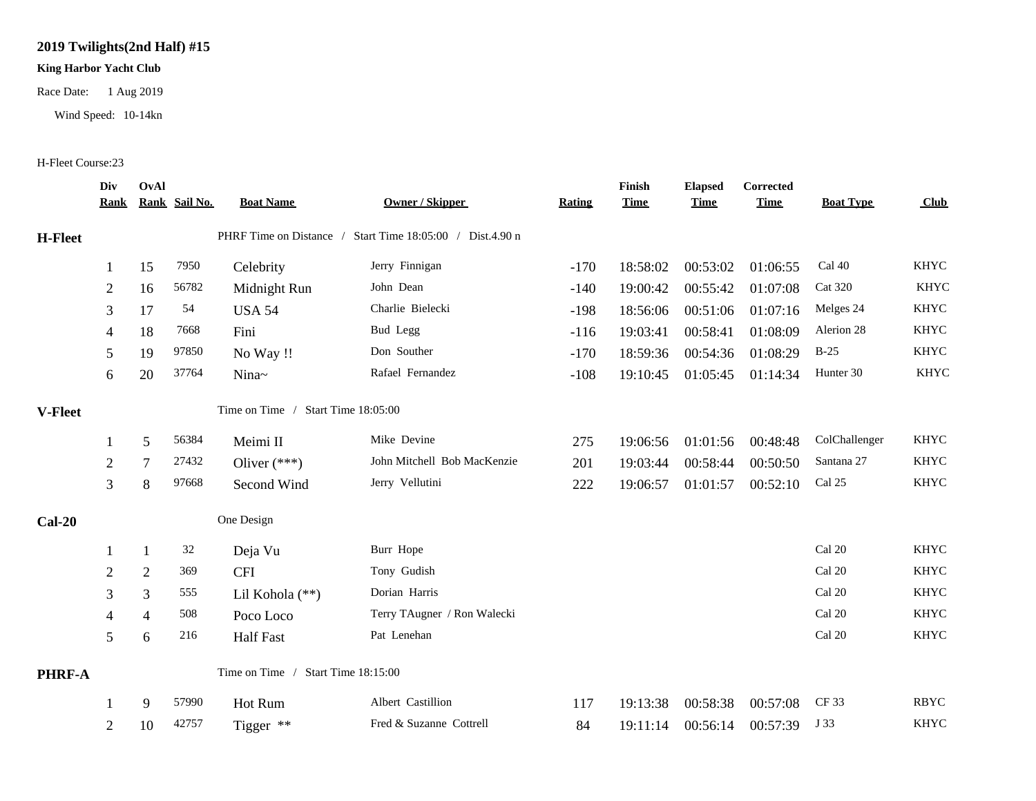## **2019 Twilights(2nd Half) #15**

## **King Harbor Yacht Club**

Race Date: 1 Aug 2019

Wind Speed: 10-14kn

## H-Fleet Course:23

|                | Div<br><u>Rank</u>                 | OvAl           | Rank Sail No. | <b>Boat Name</b>                   | Owner / Skipper                                           | <b>Rating</b> | Finish<br><b>Time</b> | <b>Elapsed</b><br><b>Time</b> | <b>Corrected</b><br><b>Time</b> | <b>Boat Type</b> | <b>Club</b> |
|----------------|------------------------------------|----------------|---------------|------------------------------------|-----------------------------------------------------------|---------------|-----------------------|-------------------------------|---------------------------------|------------------|-------------|
| H-Fleet        |                                    |                |               |                                    | PHRF Time on Distance / Start Time 18:05:00 / Dist.4.90 n |               |                       |                               |                                 |                  |             |
|                |                                    | 15             | 7950          | Celebrity                          | Jerry Finnigan                                            | $-170$        | 18:58:02              | 00:53:02                      | 01:06:55                        | Cal 40           | <b>KHYC</b> |
|                | $\overline{2}$                     | 16             | 56782         | Midnight Run                       | John Dean                                                 | $-140$        | 19:00:42              | 00:55:42                      | 01:07:08                        | <b>Cat 320</b>   | <b>KHYC</b> |
|                | 3                                  | 17             | 54            | <b>USA 54</b>                      | Charlie Bielecki                                          | $-198$        | 18:56:06              | 00:51:06                      | 01:07:16                        | Melges 24        | <b>KHYC</b> |
|                | $\overline{4}$                     | 18             | 7668          | Fini                               | Bud Legg                                                  | $-116$        | 19:03:41              | 00:58:41                      | 01:08:09                        | Alerion 28       | <b>KHYC</b> |
|                | 5                                  | 19             | 97850         | No Way !!                          | Don Souther                                               | $-170$        | 18:59:36              | 00:54:36                      | 01:08:29                        | $B-25$           | <b>KHYC</b> |
|                | 6                                  | 20             | 37764         | Nina~                              | Rafael Fernandez                                          | $-108$        | 19:10:45              | 01:05:45                      | 01:14:34                        | Hunter 30        | KHYC        |
| <b>V-Fleet</b> |                                    |                |               | Time on Time / Start Time 18:05:00 |                                                           |               |                       |                               |                                 |                  |             |
|                |                                    | 5              | 56384         | Meimi II                           | Mike Devine                                               | 275           | 19:06:56              | 01:01:56                      | 00:48:48                        | ColChallenger    | <b>KHYC</b> |
|                | $\boldsymbol{2}$                   | 7              | 27432         | Oliver $(***)$                     | John Mitchell Bob MacKenzie                               | 201           | 19:03:44              | 00:58:44                      | 00:50:50                        | Santana 27       | <b>KHYC</b> |
|                | 3                                  | 8              | 97668         | Second Wind                        | Jerry Vellutini                                           | 222           | 19:06:57              | 01:01:57                      | 00:52:10                        | Cal 25           | KHYC        |
| $Cal-20$       |                                    |                |               | One Design                         |                                                           |               |                       |                               |                                 |                  |             |
|                |                                    | 1              | 32            | Deja Vu                            | Burr Hope                                                 |               |                       |                               |                                 | Cal 20           | <b>KHYC</b> |
|                | $\overline{2}$                     | 2              | 369           | <b>CFI</b>                         | Tony Gudish                                               |               |                       |                               |                                 | Cal 20           | <b>KHYC</b> |
|                | 3                                  | 3              | 555           | Lil Kohola (**)                    | Dorian Harris                                             |               |                       |                               |                                 | Cal 20           | <b>KHYC</b> |
|                | 4                                  | $\overline{4}$ | 508           | Poco Loco                          | Terry TAugner / Ron Walecki                               |               |                       |                               |                                 | Cal 20           | <b>KHYC</b> |
|                | 5                                  | 6              | 216           | <b>Half Fast</b>                   | Pat Lenehan                                               |               |                       |                               |                                 | Cal 20           | <b>KHYC</b> |
| <b>PHRF-A</b>  | Time on Time / Start Time 18:15:00 |                |               |                                    |                                                           |               |                       |                               |                                 |                  |             |
|                |                                    | 9              | 57990         | Hot Rum                            | Albert Castillion                                         | 117           | 19:13:38              | 00:58:38                      | 00:57:08                        | CF 33            | <b>RBYC</b> |
|                | $\overline{2}$                     | 10             | 42757         | Tigger **                          | Fred & Suzanne Cottrell                                   | 84            | 19:11:14              | 00:56:14                      | 00:57:39                        | J 33             | <b>KHYC</b> |